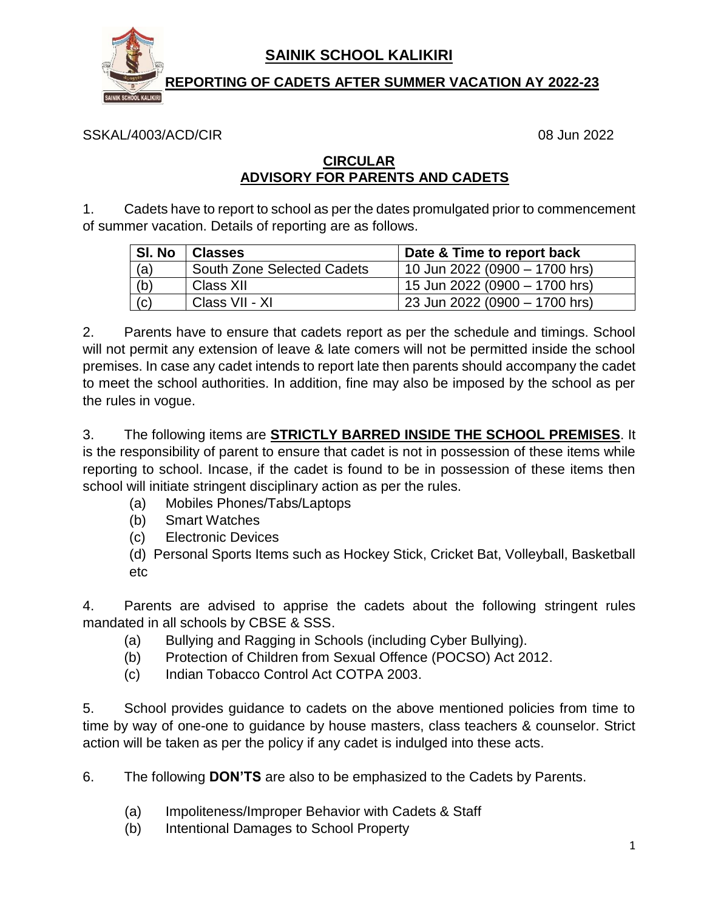

## **SAINIK SCHOOL KALIKIRI**

 **REPORTING OF CADETS AFTER SUMMER VACATION AY 2022-23**

SSKAL/4003/ACD/CIR 08 Jun 2022

## **CIRCULAR ADVISORY FOR PARENTS AND CADETS**

1. Cadets have to report to school as per the dates promulgated prior to commencement of summer vacation. Details of reporting are as follows.

| SI. No | <b>Classes</b>             | Date & Time to report back    |
|--------|----------------------------|-------------------------------|
| (a)    | South Zone Selected Cadets | 10 Jun 2022 (0900 - 1700 hrs) |
| (b)    | Class XII                  | 15 Jun 2022 (0900 - 1700 hrs) |
| (c)    | Class VII - XI             | 23 Jun 2022 (0900 - 1700 hrs) |

2. Parents have to ensure that cadets report as per the schedule and timings. School will not permit any extension of leave & late comers will not be permitted inside the school premises. In case any cadet intends to report late then parents should accompany the cadet to meet the school authorities. In addition, fine may also be imposed by the school as per the rules in vogue.

3. The following items are **STRICTLY BARRED INSIDE THE SCHOOL PREMISES**. It is the responsibility of parent to ensure that cadet is not in possession of these items while reporting to school. Incase, if the cadet is found to be in possession of these items then school will initiate stringent disciplinary action as per the rules.

- (a) Mobiles Phones/Tabs/Laptops
- (b) Smart Watches
- (c) Electronic Devices
- (d) Personal Sports Items such as Hockey Stick, Cricket Bat, Volleyball, Basketball etc

4. Parents are advised to apprise the cadets about the following stringent rules mandated in all schools by CBSE & SSS.

- (a) Bullying and Ragging in Schools (including Cyber Bullying).
- (b) Protection of Children from Sexual Offence (POCSO) Act 2012.
- (c) Indian Tobacco Control Act COTPA 2003.

5. School provides guidance to cadets on the above mentioned policies from time to time by way of one-one to guidance by house masters, class teachers & counselor. Strict action will be taken as per the policy if any cadet is indulged into these acts.

6. The following **DON'TS** are also to be emphasized to the Cadets by Parents.

- (a) Impoliteness/Improper Behavior with Cadets & Staff
- (b) Intentional Damages to School Property